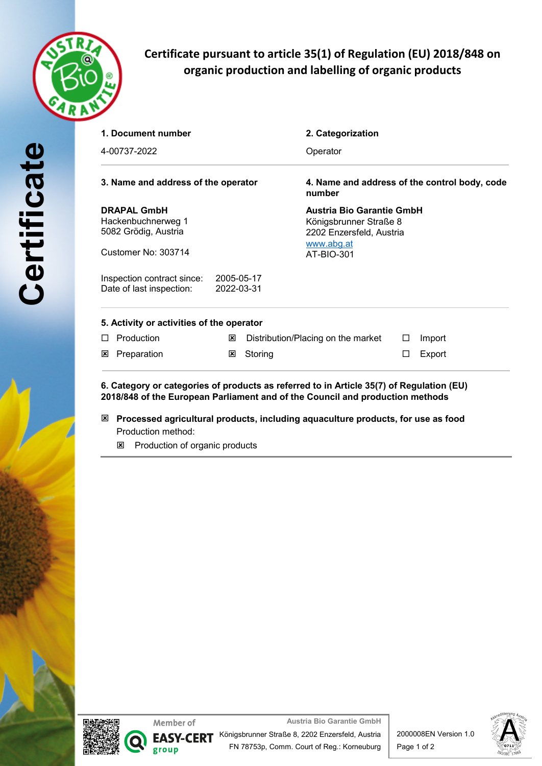

# **Certificate pursuant to article 35(1) of Regulation (EU) 2018/848 on organic production and labelling of organic products**

| 1. Document number<br>4-00737-2022<br>3. Name and address of the operator |            | 2. Categorization                  | Operator<br>4. Name and address of the control body, code<br>number |        |  |
|---------------------------------------------------------------------------|------------|------------------------------------|---------------------------------------------------------------------|--------|--|
|                                                                           |            |                                    |                                                                     |        |  |
|                                                                           |            |                                    |                                                                     |        |  |
| <b>DRAPAL GmbH</b>                                                        |            | <b>Austria Bio Garantie GmbH</b>   |                                                                     |        |  |
| Hackenbuchnerweg 1                                                        |            | Königsbrunner Straße 8             |                                                                     |        |  |
| 5082 Grödig, Austria                                                      |            | 2202 Enzersfeld, Austria           |                                                                     |        |  |
| Customer No: 303714                                                       |            | www.abg.at<br>AT-BIO-301           |                                                                     |        |  |
| Inspection contract since:                                                | 2005-05-17 |                                    |                                                                     |        |  |
| Date of last inspection:                                                  | 2022-03-31 |                                    |                                                                     |        |  |
| 5. Activity or activities of the operator                                 |            |                                    |                                                                     |        |  |
| Production<br>П                                                           | ⊠          | Distribution/Placing on the market | $\Box$                                                              | Import |  |
| Preparation<br>⊠                                                          | ⊠          | Storing                            | □                                                                   | Export |  |

**6. Category or categories of products as referred to in Article 35(7) of Regulation (EU) 2018/848 of the European Parliament and of the Council and production methods**

- ý **Processed agricultural products, including aquaculture products, for use as food** Production method:
	- **E** Production of organic products





**Austria Bio Garantie GmbH** Königsbrunner Straße 8, 2202 Enzersfeld, Austria FN 78753p, Comm. Court of Reg.: Korneuburg





**Certificate**